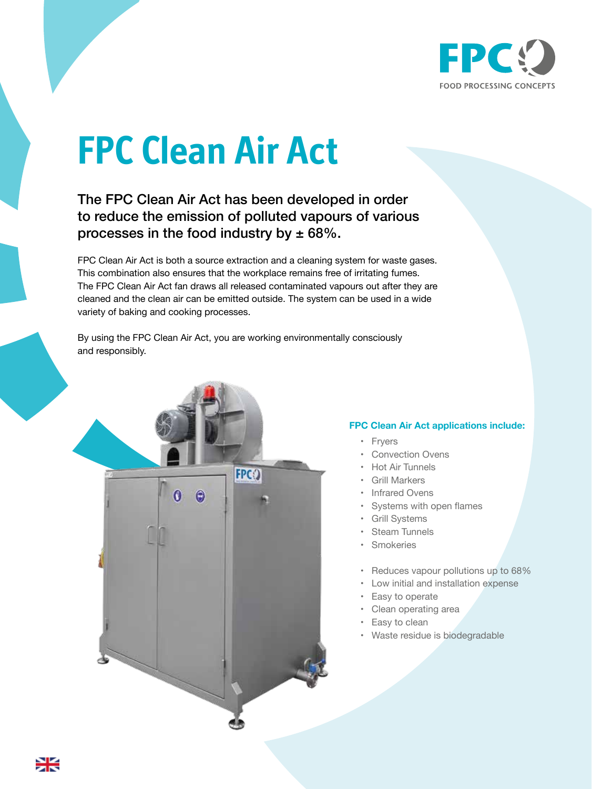

## **FPC Clean Air Act**

The FPC Clean Air Act has been developed in order to reduce the emission of polluted vapours of various processes in the food industry by  $\pm 68\%$ .

FPC Clean Air Act is both a source extraction and a cleaning system for waste gases. This combination also ensures that the workplace remains free of irritating fumes. The FPC Clean Air Act fan draws all released contaminated vapours out after they are cleaned and the clean air can be emitted outside. The system can be used in a wide variety of baking and cooking processes.

By using the FPC Clean Air Act, you are working environmentally consciously and responsibly.



## **FPC Clean Air Act applications include:**

- **Fryers**
- Convection Ovens
- Hot Air Tunnels
- Grill Markers
- Infrared Ovens
- Systems with open flames
- Grill Systems
- **Steam Tunnels**
- **Smokeries**
- Reduces vapour pollutions up to 68%
- Low initial and installation expense
- Easy to operate
- Clean operating area
- Easy to clean
- Waste residue is biodegradable